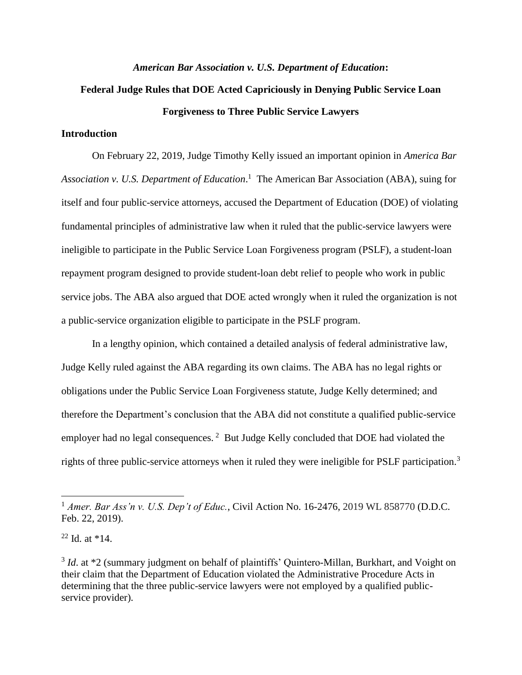### *American Bar Association v. U.S. Department of Education***:**

# **Federal Judge Rules that DOE Acted Capriciously in Denying Public Service Loan Forgiveness to Three Public Service Lawyers**

## **Introduction**

On February 22, 2019, Judge Timothy Kelly issued an important opinion in *America Bar Association v. U.S. Department of Education*. 1 The American Bar Association (ABA), suing for itself and four public-service attorneys, accused the Department of Education (DOE) of violating fundamental principles of administrative law when it ruled that the public-service lawyers were ineligible to participate in the Public Service Loan Forgiveness program (PSLF), a student-loan repayment program designed to provide student-loan debt relief to people who work in public service jobs. The ABA also argued that DOE acted wrongly when it ruled the organization is not a public-service organization eligible to participate in the PSLF program.

In a lengthy opinion, which contained a detailed analysis of federal administrative law, Judge Kelly ruled against the ABA regarding its own claims. The ABA has no legal rights or obligations under the Public Service Loan Forgiveness statute, Judge Kelly determined; and therefore the Department's conclusion that the ABA did not constitute a qualified public-service employer had no legal consequences.<sup>2</sup> But Judge Kelly concluded that DOE had violated the rights of three public-service attorneys when it ruled they were ineligible for PSLF participation.<sup>3</sup>

 $^{22}$  Id. at  $*14$ .

<sup>1</sup> *Amer. Bar Ass'n v. U.S. Dep't of Educ.*, Civil Action No. 16-2476, 2019 WL 858770 (D.D.C. Feb. 22, 2019).

<sup>&</sup>lt;sup>3</sup> *Id.* at \*2 (summary judgment on behalf of plaintiffs' Quintero-Millan, Burkhart, and Voight on their claim that the Department of Education violated the Administrative Procedure Acts in determining that the three public-service lawyers were not employed by a qualified publicservice provider).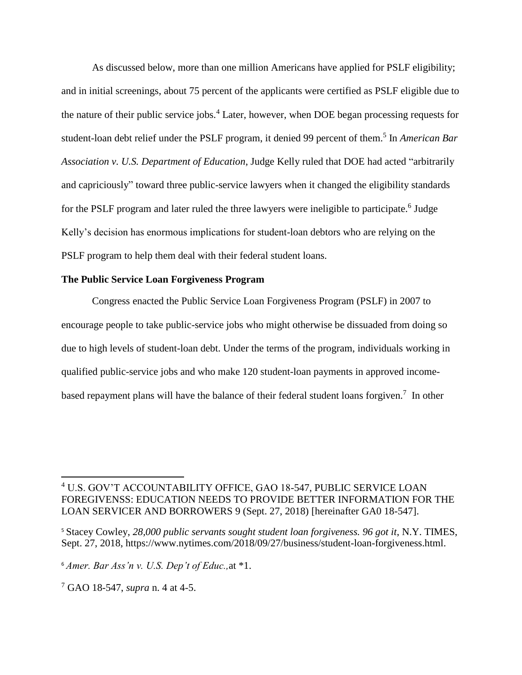As discussed below, more than one million Americans have applied for PSLF eligibility; and in initial screenings, about 75 percent of the applicants were certified as PSLF eligible due to the nature of their public service jobs.<sup>4</sup> Later, however, when DOE began processing requests for student-loan debt relief under the PSLF program, it denied 99 percent of them. 5 In *American Bar Association v. U.S. Department of Education*, Judge Kelly ruled that DOE had acted "arbitrarily and capriciously" toward three public-service lawyers when it changed the eligibility standards for the PSLF program and later ruled the three lawyers were ineligible to participate.<sup>6</sup> Judge Kelly's decision has enormous implications for student-loan debtors who are relying on the PSLF program to help them deal with their federal student loans.

#### **The Public Service Loan Forgiveness Program**

Congress enacted the Public Service Loan Forgiveness Program (PSLF) in 2007 to encourage people to take public-service jobs who might otherwise be dissuaded from doing so due to high levels of student-loan debt. Under the terms of the program, individuals working in qualified public-service jobs and who make 120 student-loan payments in approved incomebased repayment plans will have the balance of their federal student loans forgiven.<sup>7</sup> In other

<sup>4</sup> U.S. GOV'T ACCOUNTABILITY OFFICE, GAO 18-547, PUBLIC SERVICE LOAN FOREGIVENSS: EDUCATION NEEDS TO PROVIDE BETTER INFORMATION FOR THE LOAN SERVICER AND BORROWERS 9 (Sept. 27, 2018) [hereinafter GA0 18-547].

<sup>5</sup> Stacey Cowley, *28,000 public servants sought student loan forgiveness. 96 got it*, N.Y. TIMES, Sept. 27, 2018, [https://www.nytimes.com/2018/09/27/business/student-loan-forgiveness.html.](https://www.nytimes.com/2018/09/27/business/student-loan-forgiveness.html)

<sup>6</sup> *Amer. Bar Ass'n v. U.S. Dep't of Educ.,*at \*1.

<sup>7</sup> GAO 18-547, *supra* n. 4 at 4-5.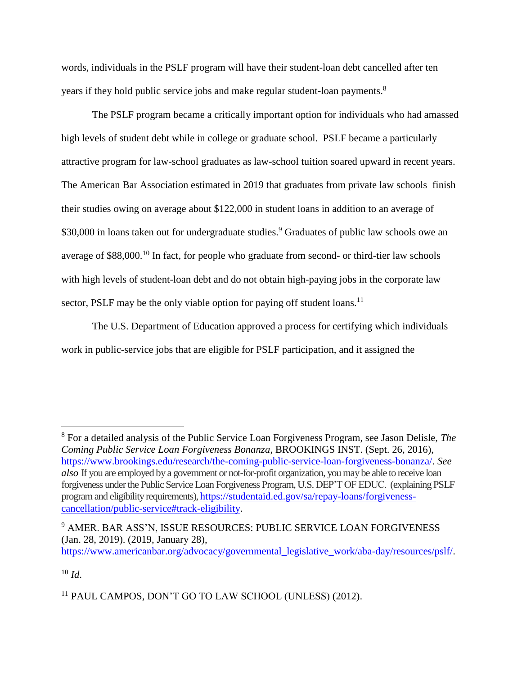words, individuals in the PSLF program will have their student-loan debt cancelled after ten years if they hold public service jobs and make regular student-loan payments.<sup>8</sup>

The PSLF program became a critically important option for individuals who had amassed high levels of student debt while in college or graduate school. PSLF became a particularly attractive program for law-school graduates as law-school tuition soared upward in recent years. The American Bar Association estimated in 2019 that graduates from private law schools finish their studies owing on average about \$122,000 in student loans in addition to an average of \$30,000 in loans taken out for undergraduate studies.<sup>9</sup> Graduates of public law schools owe an average of \$88,000.<sup>10</sup> In fact, for people who graduate from second- or third-tier law schools with high levels of student-loan debt and do not obtain high-paying jobs in the corporate law sector, PSLF may be the only viable option for paying off student loans.<sup>11</sup>

The U.S. Department of Education approved a process for certifying which individuals work in public-service jobs that are eligible for PSLF participation, and it assigned the

[https://www.americanbar.org/advocacy/governmental\\_legislative\\_work/aba-day/resources/pslf/.](https://www.americanbar.org/advocacy/governmental_legislative_work/aba-day/resources/pslf/)

<sup>10</sup> *Id*.

<sup>8</sup> For a detailed analysis of the Public Service Loan Forgiveness Program, see Jason Delisle, *The Coming Public Service Loan Forgiveness Bonanza*, BROOKINGS INST. (Sept. 26, 2016), [https://www.brookings.edu/research/the-coming-public-service-loan-forgiveness-bonanza/.](https://www.brookings.edu/research/the-coming-public-service-loan-forgiveness-bonanza/) *See also* If you are employed by a government or not-for-profit organization, you may be able to receive loan forgiveness under the Public Service Loan Forgiveness Program, U.S. DEP'T OF EDUC. (explaining PSLF program and eligibility requirements)[, https://studentaid.ed.gov/sa/repay-loans/forgiveness](https://studentaid.ed.gov/sa/repay-loans/forgiveness-cancellation/public-service#track-eligibility)[cancellation/public-service#track-eligibility.](https://studentaid.ed.gov/sa/repay-loans/forgiveness-cancellation/public-service#track-eligibility)

<sup>9</sup> AMER. BAR ASS'N, ISSUE RESOURCES: PUBLIC SERVICE LOAN FORGIVENESS (Jan. 28, 2019). (2019, January 28),

<sup>&</sup>lt;sup>11</sup> PAUL CAMPOS, DON'T GO TO LAW SCHOOL (UNLESS) (2012).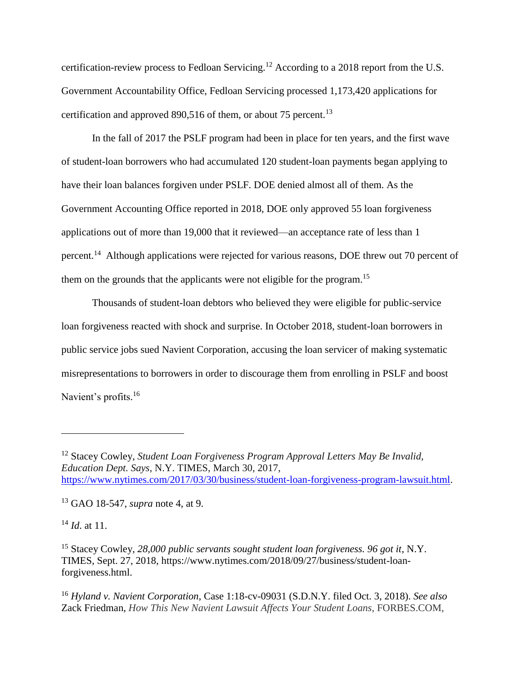certification-review process to Fedloan Servicing.<sup>12</sup> According to a 2018 report from the U.S. Government Accountability Office, Fedloan Servicing processed 1,173,420 applications for certification and approved 890,516 of them, or about 75 percent.<sup>13</sup>

In the fall of 2017 the PSLF program had been in place for ten years, and the first wave of student-loan borrowers who had accumulated 120 student-loan payments began applying to have their loan balances forgiven under PSLF. DOE denied almost all of them. As the Government Accounting Office reported in 2018, DOE only approved 55 loan forgiveness applications out of more than 19,000 that it reviewed—an acceptance rate of less than 1 percent.<sup>14</sup> Although applications were rejected for various reasons, DOE threw out 70 percent of them on the grounds that the applicants were not eligible for the program.<sup>15</sup>

Thousands of student-loan debtors who believed they were eligible for public-service loan forgiveness reacted with shock and surprise. In October 2018, student-loan borrowers in public service jobs sued Navient Corporation, accusing the loan servicer of making systematic misrepresentations to borrowers in order to discourage them from enrolling in PSLF and boost Navient's profits.<sup>16</sup>

<sup>13</sup> GAO 18-547, *supra* note 4, at 9.

<sup>14</sup> *Id*. at 11.

<sup>12</sup> Stacey Cowley, *Student Loan Forgiveness Program Approval Letters May Be Invalid, Education Dept. Says*, N.Y. TIMES, March 30, 2017, [https://www.nytimes.com/2017/03/30/business/student-loan-forgiveness-program-lawsuit.html.](https://www.nytimes.com/2017/03/30/business/student-loan-forgiveness-program-lawsuit.html)

<sup>&</sup>lt;sup>15</sup> Stacey Cowley, 28,000 public servants sought student loan forgiveness. 96 got it, N.Y. TIMES, Sept. 27, 2018, [https://www.nytimes.com/2018/09/27/business/student-loan](https://www.nytimes.com/2018/09/27/business/student-loan-forgiveness.html)[forgiveness.html.](https://www.nytimes.com/2018/09/27/business/student-loan-forgiveness.html)

<sup>16</sup> *Hyland v. Navient Corporation*, Case 1:18-cv-09031 (S.D.N.Y. filed Oct. 3, 2018). *See also* Zack Friedman, *How This New Navient Lawsuit Affects Your Student Loans*, FORBES.COM,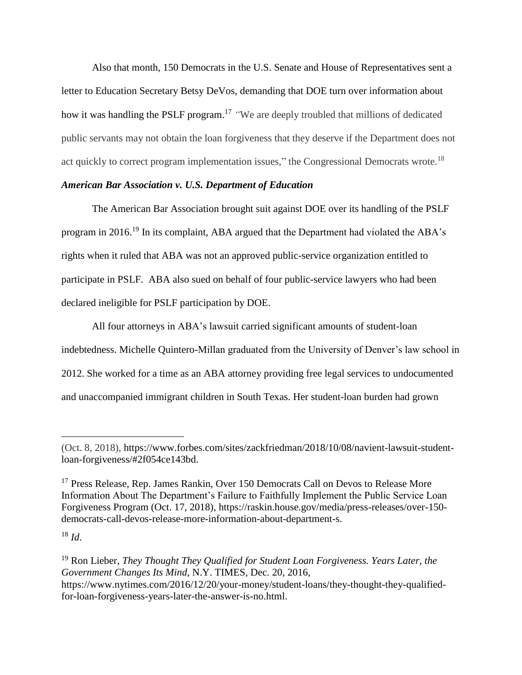Also that month, 150 Democrats in the U.S. Senate and House of Representatives sent a letter to Education Secretary Betsy DeVos, demanding that DOE turn over information about how it was handling the PSLF program. <sup>17</sup> *"*We are deeply troubled that millions of dedicated public servants may not obtain the loan forgiveness that they deserve if the Department does not act quickly to correct program implementation issues," the Congressional Democrats wrote.<sup>18</sup>

## *American Bar Association v. U.S. Department of Education*

The American Bar Association brought suit against DOE over its handling of the PSLF program in 2016.<sup>19</sup> In its complaint, ABA argued that the Department had violated the ABA's rights when it ruled that ABA was not an approved public-service organization entitled to participate in PSLF. ABA also sued on behalf of four public-service lawyers who had been declared ineligible for PSLF participation by DOE.

All four attorneys in ABA's lawsuit carried significant amounts of student-loan indebtedness. Michelle Quintero-Millan graduated from the University of Denver's law school in 2012. She worked for a time as an ABA attorney providing free legal services to undocumented and unaccompanied immigrant children in South Texas. Her student-loan burden had grown

 $18$  *Id.* 

<sup>(</sup>Oct. 8, 2018), [https://www.forbes.com/sites/zackfriedman/2018/10/08/navient-lawsuit-student](https://www.forbes.com/sites/zackfriedman/2018/10/08/navient-lawsuit-student-loan-forgiveness/#2f054ce143bd)[loan-forgiveness/#2f054ce143bd.](https://www.forbes.com/sites/zackfriedman/2018/10/08/navient-lawsuit-student-loan-forgiveness/#2f054ce143bd)

<sup>&</sup>lt;sup>17</sup> Press Release, Rep. James Rankin, Over 150 Democrats Call on Devos to Release More Information About The Department's Failure to Faithfully Implement the Public Service Loan Forgiveness Program (Oct. 17, 2018), [https://raskin.house.gov/media/press-releases/over-150](https://raskin.house.gov/media/press-releases/over-150-democrats-call-devos-release-more-information-about-department-s) [democrats-call-devos-release-more-information-about-department-s.](https://raskin.house.gov/media/press-releases/over-150-democrats-call-devos-release-more-information-about-department-s)

<sup>19</sup> Ron Lieber, *They Thought They Qualified for Student Loan Forgiveness. Years Later, the Government Changes Its Mind*, N.Y. TIMES, Dec. 20, 2016, [https://www.nytimes.com/2016/12/20/your-money/student-loans/they-thought-they-qualified](https://www.nytimes.com/2016/12/20/your-money/student-loans/they-thought-they-qualified-for-loan-forgiveness-years-later-the-answer-is-no.html)[for-loan-forgiveness-years-later-the-answer-is-no.html.](https://www.nytimes.com/2016/12/20/your-money/student-loans/they-thought-they-qualified-for-loan-forgiveness-years-later-the-answer-is-no.html)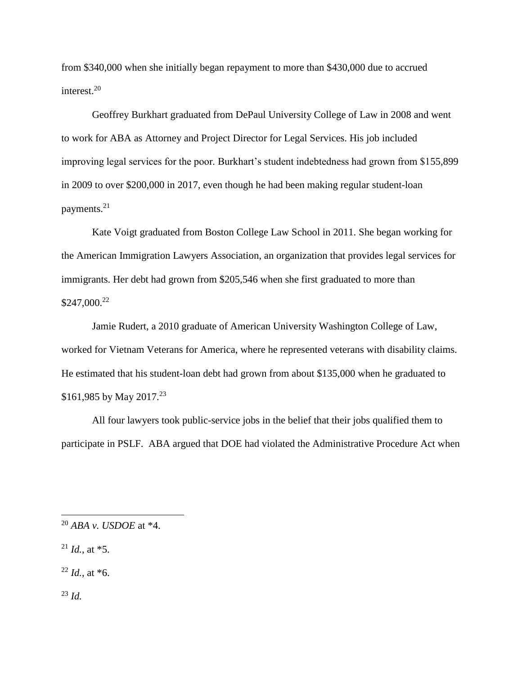from \$340,000 when she initially began repayment to more than \$430,000 due to accrued interest. 20

Geoffrey Burkhart graduated from DePaul University College of Law in 2008 and went to work for ABA as Attorney and Project Director for Legal Services. His job included improving legal services for the poor. Burkhart's student indebtedness had grown from \$155,899 in 2009 to over \$200,000 in 2017, even though he had been making regular student-loan payments. 21

Kate Voigt graduated from Boston College Law School in 2011. She began working for the American Immigration Lawyers Association, an organization that provides legal services for immigrants. Her debt had grown from \$205,546 when she first graduated to more than \$247,000. 22

Jamie Rudert, a 2010 graduate of American University Washington College of Law, worked for Vietnam Veterans for America, where he represented veterans with disability claims. He estimated that his student-loan debt had grown from about \$135,000 when he graduated to \$161,985 by May 2017.<sup>23</sup>

All four lawyers took public-service jobs in the belief that their jobs qualified them to participate in PSLF. ABA argued that DOE had violated the Administrative Procedure Act when

 $^{21}$  *Id.*, at  $*5$ .

 $^{22}$  *Id.*, at  $*6$ .

<sup>23</sup> *Id.*

<sup>20</sup> *ABA v. USDOE* at \*4.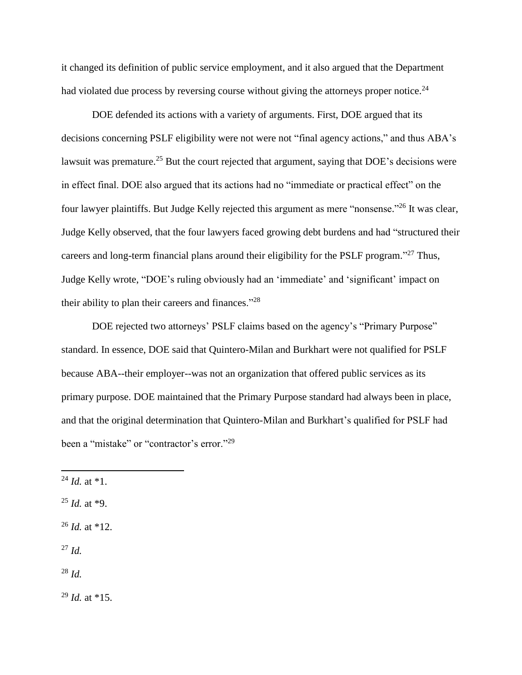it changed its definition of public service employment, and it also argued that the Department had violated due process by reversing course without giving the attorneys proper notice.<sup>24</sup>

DOE defended its actions with a variety of arguments. First, DOE argued that its decisions concerning PSLF eligibility were not were not "final agency actions," and thus ABA's lawsuit was premature.<sup>25</sup> But the court rejected that argument, saying that DOE's decisions were in effect final. DOE also argued that its actions had no "immediate or practical effect" on the four lawyer plaintiffs. But Judge Kelly rejected this argument as mere "nonsense."<sup>26</sup> It was clear, Judge Kelly observed, that the four lawyers faced growing debt burdens and had "structured their careers and long-term financial plans around their eligibility for the PSLF program."<sup>27</sup> Thus, Judge Kelly wrote, "DOE's ruling obviously had an 'immediate' and 'significant' impact on their ability to plan their careers and finances."<sup>28</sup>

DOE rejected two attorneys' PSLF claims based on the agency's "Primary Purpose" standard. In essence, DOE said that Quintero-Milan and Burkhart were not qualified for PSLF because ABA--their employer--was not an organization that offered public services as its primary purpose. DOE maintained that the Primary Purpose standard had always been in place, and that the original determination that Quintero-Milan and Burkhart's qualified for PSLF had been a "mistake" or "contractor's error."<sup>29</sup>

 $\overline{\phantom{a}}$ 

- $^{25}$  *Id.* at  $*9$ .
- <sup>26</sup> *Id.* at \*12.
- <sup>27</sup> *Id.*

<sup>28</sup> *Id.*

<sup>29</sup> *Id.* at \*15.

 $^{24}$  *Id.* at  $*1$ .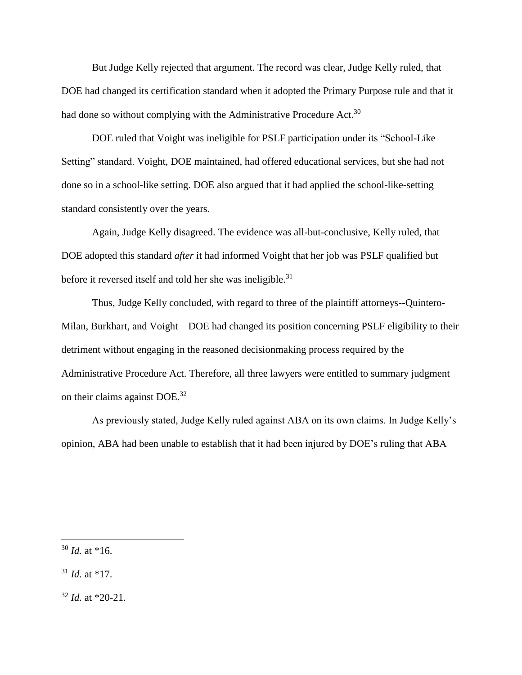But Judge Kelly rejected that argument. The record was clear, Judge Kelly ruled, that DOE had changed its certification standard when it adopted the Primary Purpose rule and that it had done so without complying with the Administrative Procedure Act.<sup>30</sup>

DOE ruled that Voight was ineligible for PSLF participation under its "School-Like Setting" standard. Voight, DOE maintained, had offered educational services, but she had not done so in a school-like setting. DOE also argued that it had applied the school-like-setting standard consistently over the years.

Again, Judge Kelly disagreed. The evidence was all-but-conclusive, Kelly ruled, that DOE adopted this standard *after* it had informed Voight that her job was PSLF qualified but before it reversed itself and told her she was ineligible.<sup>31</sup>

Thus, Judge Kelly concluded, with regard to three of the plaintiff attorneys--Quintero-Milan, Burkhart, and Voight—DOE had changed its position concerning PSLF eligibility to their detriment without engaging in the reasoned decisionmaking process required by the Administrative Procedure Act. Therefore, all three lawyers were entitled to summary judgment on their claims against DOE.<sup>32</sup>

As previously stated, Judge Kelly ruled against ABA on its own claims. In Judge Kelly's opinion, ABA had been unable to establish that it had been injured by DOE's ruling that ABA

 $30$  *Id.* at \*16.

 $31$  *Id.* at \*17.

 $32$  *Id.* at \*20-21.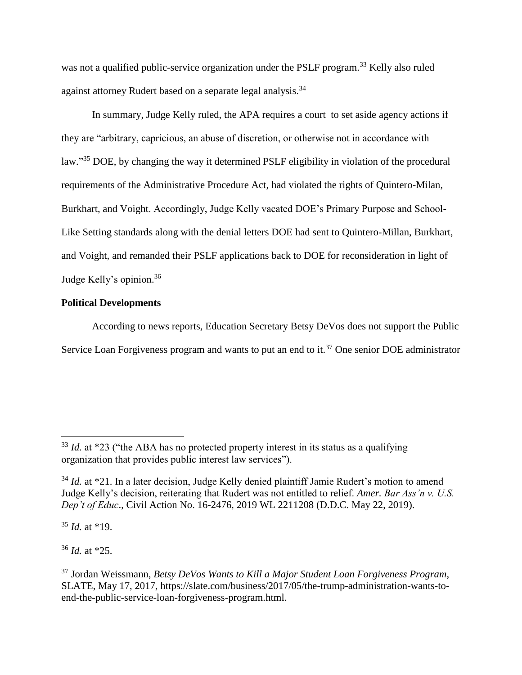was not a qualified public-service organization under the PSLF program.<sup>33</sup> Kelly also ruled against attorney Rudert based on a separate legal analysis.<sup>34</sup>

In summary, Judge Kelly ruled, the APA requires a court to set aside agency actions if they are "arbitrary, capricious, an abuse of discretion, or otherwise not in accordance with law."<sup>35</sup> DOE, by changing the way it determined PSLF eligibility in violation of the procedural requirements of the Administrative Procedure Act, had violated the rights of Quintero-Milan, Burkhart, and Voight. Accordingly, Judge Kelly vacated DOE's Primary Purpose and School-Like Setting standards along with the denial letters DOE had sent to Quintero-Millan, Burkhart, and Voight, and remanded their PSLF applications back to DOE for reconsideration in light of Judge Kelly's opinion.<sup>36</sup>

## **Political Developments**

According to news reports, Education Secretary Betsy DeVos does not support the Public Service Loan Forgiveness program and wants to put an end to it.<sup>37</sup> One senior DOE administrator

<sup>35</sup> *Id.* at \*19.

l

<sup>36</sup> *Id.* at \*25.

 $33$  *Id.* at \*23 ("the ABA has no protected property interest in its status as a qualifying organization that provides public interest law services").

<sup>&</sup>lt;sup>34</sup> *Id.* at \*21. In a later decision, Judge Kelly denied plaintiff Jamie Rudert's motion to amend Judge Kelly's decision, reiterating that Rudert was not entitled to relief. *Amer. Bar Ass'n v. U.S. Dep't of Educ*., Civil Action No. 16-2476, 2019 WL 2211208 (D.D.C. May 22, 2019).

<sup>37</sup> Jordan Weissmann, *Betsy DeVos Wants to Kill a Major Student Loan Forgiveness Program*, SLATE, May 17, 2017, https://slate.com/business/2017/05/the-trump-administration-wants-toend-the-public-service-loan-forgiveness-program.html.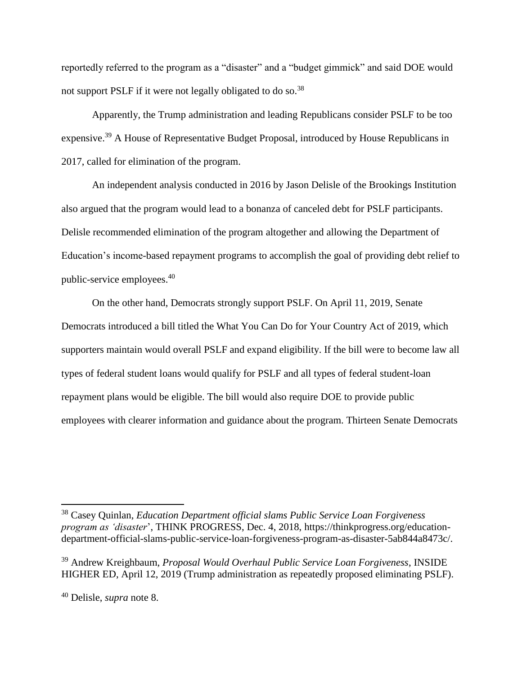reportedly referred to the program as a "disaster" and a "budget gimmick" and said DOE would not support PSLF if it were not legally obligated to do so.<sup>38</sup>

Apparently, the Trump administration and leading Republicans consider PSLF to be too expensive.<sup>39</sup> A House of Representative Budget Proposal, introduced by House Republicans in 2017, called for elimination of the program.

An independent analysis conducted in 2016 by Jason Delisle of the Brookings Institution also argued that the program would lead to a bonanza of canceled debt for PSLF participants. Delisle recommended elimination of the program altogether and allowing the Department of Education's income-based repayment programs to accomplish the goal of providing debt relief to public-service employees.<sup>40</sup>

On the other hand, Democrats strongly support PSLF. On April 11, 2019, Senate Democrats introduced a bill titled the What You Can Do for Your Country Act of 2019, which supporters maintain would overall PSLF and expand eligibility. If the bill were to become law all types of federal student loans would qualify for PSLF and all types of federal student-loan repayment plans would be eligible. The bill would also require DOE to provide public employees with clearer information and guidance about the program. Thirteen Senate Democrats

<sup>38</sup> Casey Quinlan, *Education Department official slams Public Service Loan Forgiveness program as 'disaster*', THINK PROGRESS, Dec. 4, 2018, https://thinkprogress.org/educationdepartment-official-slams-public-service-loan-forgiveness-program-as-disaster-5ab844a8473c/.

<sup>39</sup> Andrew Kreighbaum, *Proposal Would Overhaul Public Service Loan Forgiveness*, INSIDE HIGHER ED, April 12, 2019 (Trump administration as repeatedly proposed eliminating PSLF).

<sup>40</sup> Delisle, *supra* note 8.